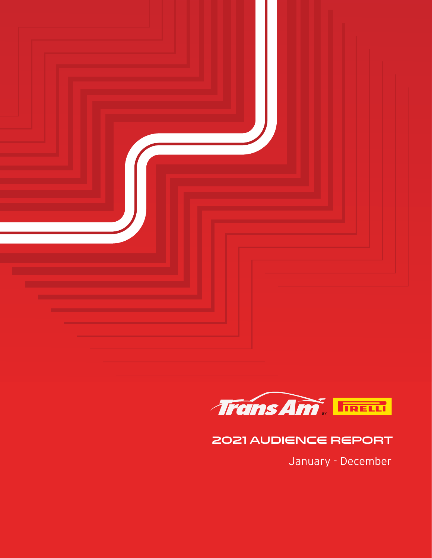



# 2021 Audience Report

January - December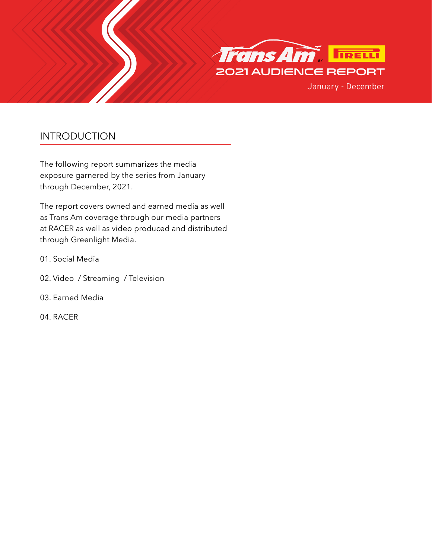



## INTRODUCTION

The following report summarizes the media exposure garnered by the series from January through December, 2021.

The report covers owned and earned media as well as Trans Am coverage through our media partners at RACER as well as video produced and distributed through Greenlight Media.

- 01. Social Media
- 02. Video / Streaming / Television
- 03. Earned Media
- 04. RACER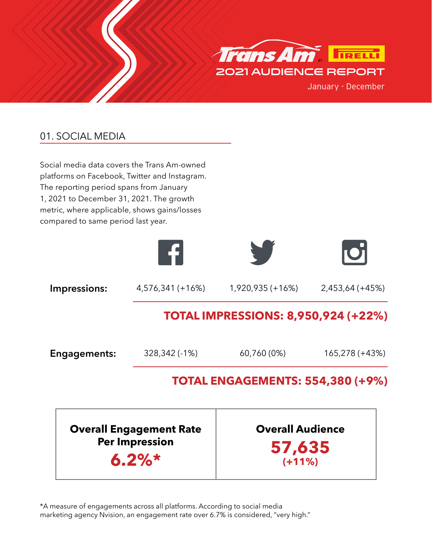



#### 01. SOCIAL MEDIA

Social media data covers the Trans Am-owned platforms on Facebook, Twitter and Instagram. The reporting period spans from January 1, 2021 to December 31, 2021. The growth metric, where applicable, shows gains/losses compared to same period last year.





\*A measure of engagements across all platforms. According to social media marketing agency Nvision, an engagement rate over 6.7% is considered, "very high."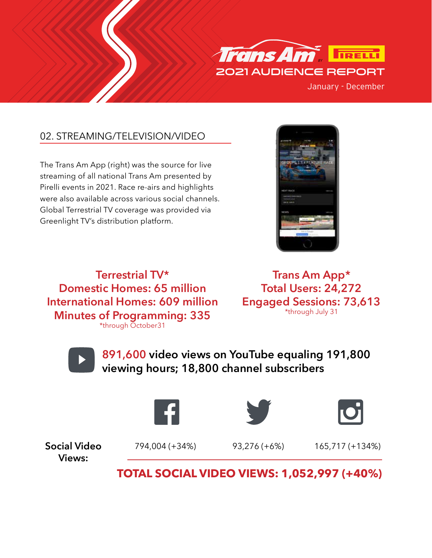

# 02. STREAMING/TELEVISION/VIDEO

The Trans Am App (right) was the source for live streaming of all national Trans Am presented by Pirelli events in 2021. Race re-airs and highlights were also available across various social channels. Global Terrestrial TV coverage was provided via Greenlight TV's distribution platform.



**Terrestrial TV\* Domestic Homes: 65 million International Homes: 609 million Minutes of Programming: 335** \*through October31

**Trans Am App\* Total Users: 24,272 Engaged Sessions: 73,613** \*through July 31



**891,600 video views on YouTube equaling 191,800 viewing hours; 18,800 channel subscribers**







**Social Video Views:**

794,004 (+34%) 93,276 (+6%) 165,717 (+134%)

**TOTAL SOCIAL VIDEO VIEWS: 1,052,997 (+40%)**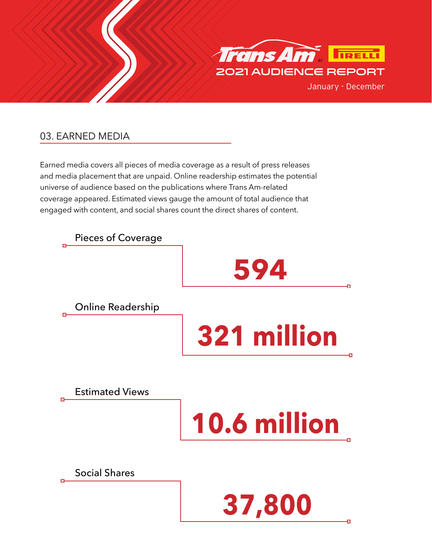



#### 03. EARNED MEDIA

Earned media covers all pieces of media coverage as a result of press releases and media placement that are unpaid. Online readership estimates the potential universe of audience based on the publications where Trans Am-related coverage appeared. Estimated views gauge the amount of total audience that engaged with content, and social shares count the direct shares of content.

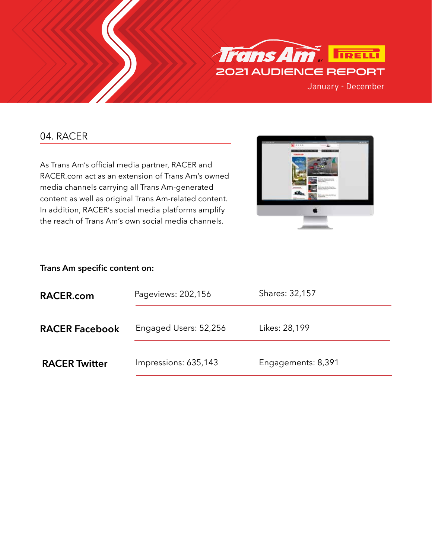

#### 04. RACER

As Trans Am's official media partner, RACER and RACER.com act as an extension of Trans Am's owned media channels carrying all Trans Am-generated content as well as original Trans Am-related content. In addition, RACER's social media platforms amplify the reach of Trans Am's own social media channels.



#### **Trans Am specific content on:**

| RACER.com             | Pageviews: 202,156    | Shares: 32,157     |
|-----------------------|-----------------------|--------------------|
| <b>RACER Facebook</b> | Engaged Users: 52,256 | Likes: 28,199      |
| <b>RACER Twitter</b>  | Impressions: 635,143  | Engagements: 8,391 |